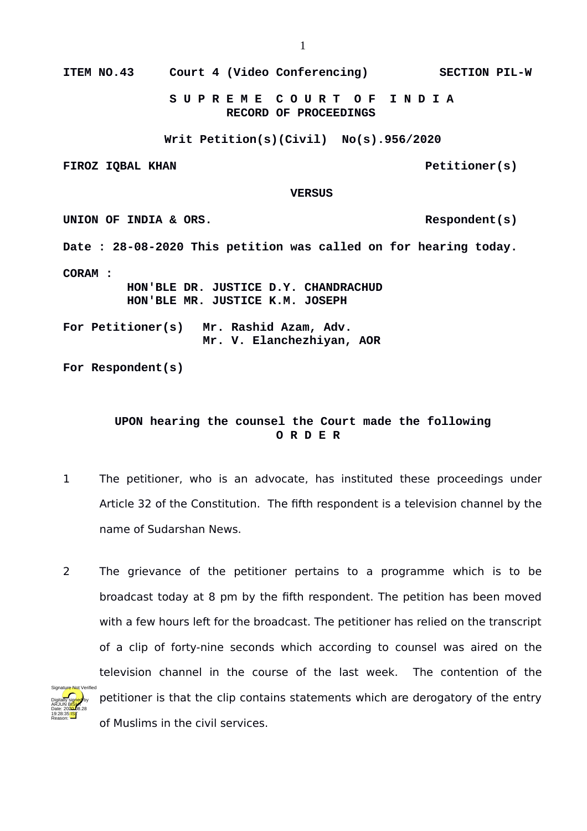**ITEM NO.43 Court 4 (Video Conferencing) SECTION PIL-W**

 **S U P R E M E C O U R T O F I N D I A RECORD OF PROCEEDINGS**

**Writ Petition(s)(Civil) No(s).956/2020**

FIROZ IQBAL KHAN **PETITIONER** PETITIONER(S)

## **VERSUS**

UNION OF INDIA & ORS. **Date : 28-08-2020 This petition was called on for hearing today. CORAM : HON'BLE DR. JUSTICE D.Y. CHANDRACHUD HON'BLE MR. JUSTICE K.M. JOSEPH For Petitioner(s) Mr. Rashid Azam, Adv. Mr. V. Elanchezhiyan, AOR**

**For Respondent(s)**

## **UPON hearing the counsel the Court made the following O R D E R**

- 1 The petitioner, who is an advocate, has instituted these proceedings under Article 32 of the Constitution. The fifth respondent is a television channel by the name of Sudarshan News.
- 2 The grievance of the petitioner pertains to a programme which is to be broadcast today at 8 pm by the fifth respondent. The petition has been moved with a few hours left for the broadcast. The petitioner has relied on the transcript of a clip of forty-nine seconds which according to counsel was aired on the television channel in the course of the last week. The contention of the petitioner is that the clip contains statements which are derogatory of the entry of Muslims in the civil services.

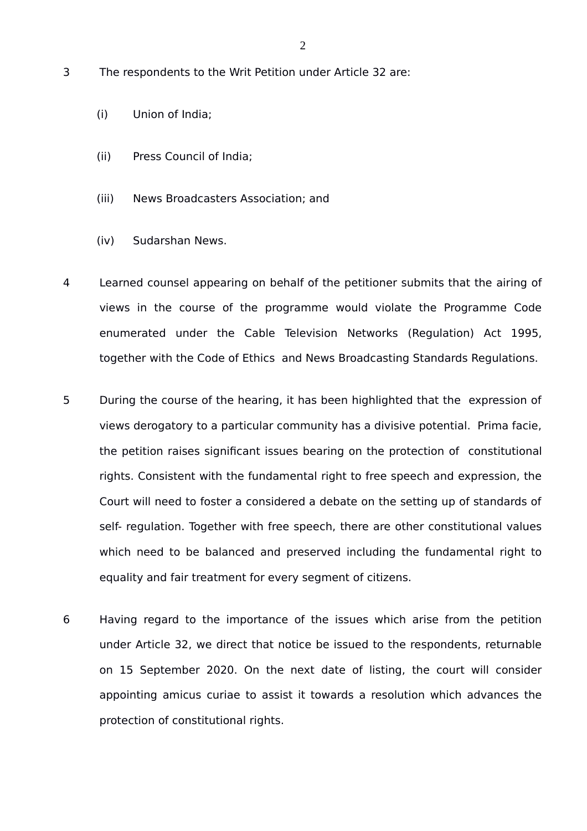- 3 The respondents to the Writ Petition under Article 32 are:
	- (i) Union of India;
	- (ii) Press Council of India;
	- (iii) News Broadcasters Association; and
	- (iv) Sudarshan News.
- 4 Learned counsel appearing on behalf of the petitioner submits that the airing of views in the course of the programme would violate the Programme Code enumerated under the Cable Television Networks (Regulation) Act 1995, together with the Code of Ethics and News Broadcasting Standards Regulations.
- 5 During the course of the hearing, it has been highlighted that the expression of views derogatory to a particular community has a divisive potential. Prima facie, the petition raises significant issues bearing on the protection of constitutional rights. Consistent with the fundamental right to free speech and expression, the Court will need to foster a considered a debate on the setting up of standards of self- regulation. Together with free speech, there are other constitutional values which need to be balanced and preserved including the fundamental right to equality and fair treatment for every segment of citizens.
- 6 Having regard to the importance of the issues which arise from the petition under Article 32, we direct that notice be issued to the respondents, returnable on 15 September 2020. On the next date of listing, the court will consider appointing amicus curiae to assist it towards a resolution which advances the protection of constitutional rights.